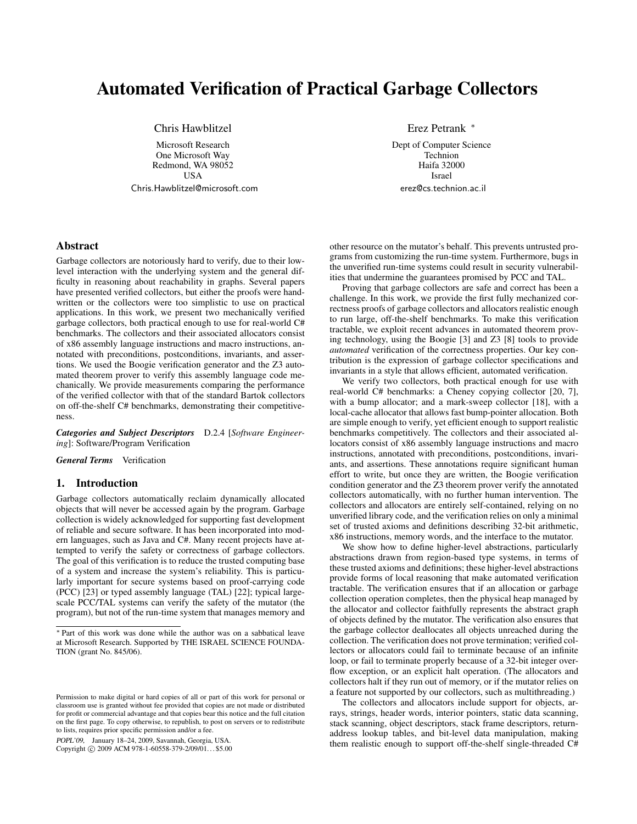# Automated Verification of Practical Garbage Collectors

Chris Hawblitzel

Microsoft Research One Microsoft Way Redmond, WA 98052 USA Chris.Hawblitzel@microsoft.com Erez Petrank <sup>∗</sup>

Dept of Computer Science Technion Haifa 32000 Israel erez@cs.technion.ac.il

## Abstract

Garbage collectors are notoriously hard to verify, due to their lowlevel interaction with the underlying system and the general difficulty in reasoning about reachability in graphs. Several papers have presented verified collectors, but either the proofs were handwritten or the collectors were too simplistic to use on practical applications. In this work, we present two mechanically verified garbage collectors, both practical enough to use for real-world C# benchmarks. The collectors and their associated allocators consist of x86 assembly language instructions and macro instructions, annotated with preconditions, postconditions, invariants, and assertions. We used the Boogie verification generator and the Z3 automated theorem prover to verify this assembly language code mechanically. We provide measurements comparing the performance of the verified collector with that of the standard Bartok collectors on off-the-shelf C# benchmarks, demonstrating their competitiveness.

*Categories and Subject Descriptors* D.2.4 [*Software Engineering*]: Software/Program Verification

*General Terms* Verification

## 1. Introduction

Garbage collectors automatically reclaim dynamically allocated objects that will never be accessed again by the program. Garbage collection is widely acknowledged for supporting fast development of reliable and secure software. It has been incorporated into modern languages, such as Java and C#. Many recent projects have attempted to verify the safety or correctness of garbage collectors. The goal of this verification is to reduce the trusted computing base of a system and increase the system's reliability. This is particularly important for secure systems based on proof-carrying code (PCC) [23] or typed assembly language (TAL) [22]; typical largescale PCC/TAL systems can verify the safety of the mutator (the program), but not of the run-time system that manages memory and

POPL'09, January 18–24, 2009, Savannah, Georgia, USA.

Copyright © 2009 ACM 978-1-60558-379-2/09/01... \$5.00

other resource on the mutator's behalf. This prevents untrusted programs from customizing the run-time system. Furthermore, bugs in the unverified run-time systems could result in security vulnerabilities that undermine the guarantees promised by PCC and TAL.

Proving that garbage collectors are safe and correct has been a challenge. In this work, we provide the first fully mechanized correctness proofs of garbage collectors and allocators realistic enough to run large, off-the-shelf benchmarks. To make this verification tractable, we exploit recent advances in automated theorem proving technology, using the Boogie [3] and Z3 [8] tools to provide *automated* verification of the correctness properties. Our key contribution is the expression of garbage collector specifications and invariants in a style that allows efficient, automated verification.

We verify two collectors, both practical enough for use with real-world C# benchmarks: a Cheney copying collector [20, 7], with a bump allocator; and a mark-sweep collector [18], with a local-cache allocator that allows fast bump-pointer allocation. Both are simple enough to verify, yet efficient enough to support realistic benchmarks competitively. The collectors and their associated allocators consist of x86 assembly language instructions and macro instructions, annotated with preconditions, postconditions, invariants, and assertions. These annotations require significant human effort to write, but once they are written, the Boogie verification condition generator and the Z3 theorem prover verify the annotated collectors automatically, with no further human intervention. The collectors and allocators are entirely self-contained, relying on no unverified library code, and the verification relies on only a minimal set of trusted axioms and definitions describing 32-bit arithmetic, x86 instructions, memory words, and the interface to the mutator.

We show how to define higher-level abstractions, particularly abstractions drawn from region-based type systems, in terms of these trusted axioms and definitions; these higher-level abstractions provide forms of local reasoning that make automated verification tractable. The verification ensures that if an allocation or garbage collection operation completes, then the physical heap managed by the allocator and collector faithfully represents the abstract graph of objects defined by the mutator. The verification also ensures that the garbage collector deallocates all objects unreached during the collection. The verification does not prove termination; verified collectors or allocators could fail to terminate because of an infinite loop, or fail to terminate properly because of a 32-bit integer overflow exception, or an explicit halt operation. (The allocators and collectors halt if they run out of memory, or if the mutator relies on a feature not supported by our collectors, such as multithreading.)

The collectors and allocators include support for objects, arrays, strings, header words, interior pointers, static data scanning, stack scanning, object descriptors, stack frame descriptors, returnaddress lookup tables, and bit-level data manipulation, making them realistic enough to support off-the-shelf single-threaded C#

<sup>∗</sup> Part of this work was done while the author was on a sabbatical leave at Microsoft Research. Supported by THE ISRAEL SCIENCE FOUNDA-TION (grant No. 845/06).

Permission to make digital or hard copies of all or part of this work for personal or classroom use is granted without fee provided that copies are not made or distributed for profit or commercial advantage and that copies bear this notice and the full citation on the first page. To copy otherwise, to republish, to post on servers or to redistribute to lists, requires prior specific permission and/or a fee.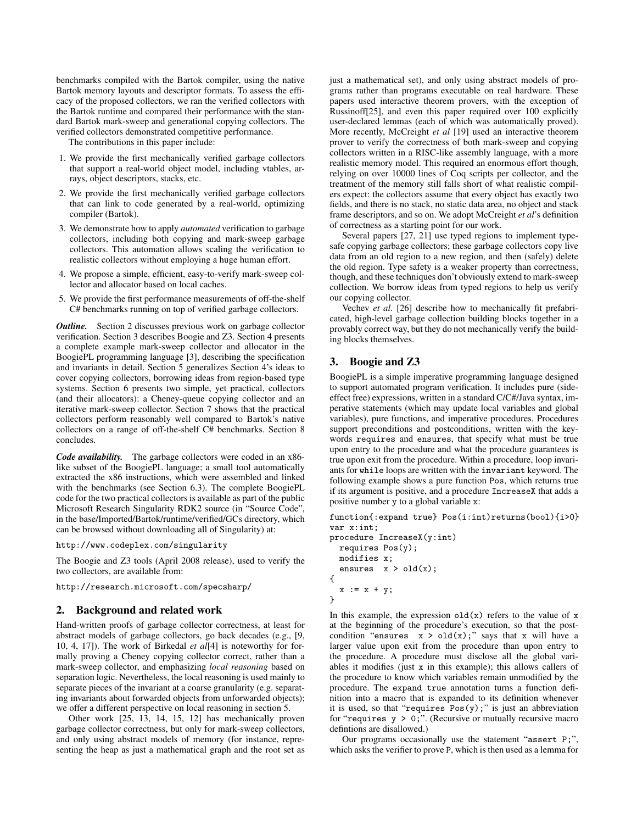benchmarks compiled with the Bartok compiler, using the native Bartok memory layouts and descriptor formats. To assess the efficacy of the proposed collectors, we ran the verified collectors with the Bartok runtime and compared their performance with the standard Bartok mark-sweep and generational copying collectors. The verified collectors demonstrated competitive performance.

The contributions in this paper include:

- 1. We provide the first mechanically verified garbage collectors that support a real-world object model, including vtables, arrays, object descriptors, stacks, etc.
- 2. We provide the first mechanically verified garbage collectors that can link to code generated by a real-world, optimizing compiler (Bartok).
- 3. We demonstrate how to apply *automated* verification to garbage collectors, including both copying and mark-sweep garbage collectors. This automation allows scaling the verification to realistic collectors without employing a huge human effort.
- 4. We propose a simple, efficient, easy-to-verify mark-sweep collector and allocator based on local caches.
- 5. We provide the first performance measurements of off-the-shelf C# benchmarks running on top of verified garbage collectors.

*Outline.* Section 2 discusses previous work on garbage collector verification. Section 3 describes Boogie and Z3. Section 4 presents a complete example mark-sweep collector and allocator in the BoogiePL programming language [3], describing the specification and invariants in detail. Section 5 generalizes Section 4's ideas to cover copying collectors, borrowing ideas from region-based type systems. Section 6 presents two simple, yet practical, collectors (and their allocators): a Cheney-queue copying collector and an iterative mark-sweep collector. Section 7 shows that the practical collectors perform reasonably well compared to Bartok's native collectors on a range of off-the-shelf C# benchmarks. Section 8 concludes.

*Code availability.* The garbage collectors were coded in an x86 like subset of the BoogiePL language; a small tool automatically extracted the x86 instructions, which were assembled and linked with the benchmarks (see Section 6.3). The complete BoogiePL code for the two practical collectors is available as part of the public Microsoft Research Singularity RDK2 source (in "Source Code", in the base/Imported/Bartok/runtime/verified/GCs directory, which can be browsed without downloading all of Singularity) at:

http://www.codeplex.com/singularity

The Boogie and Z3 tools (April 2008 release), used to verify the two collectors, are available from:

http://research.microsoft.com/specsharp/

## 2. Background and related work

Hand-written proofs of garbage collector correctness, at least for abstract models of garbage collectors, go back decades (e.g., [9, 10, 4, 17]). The work of Birkedal *et al*[4] is noteworthy for formally proving a Cheney copying collector correct, rather than a mark-sweep collector, and emphasizing *local reasoning* based on separation logic. Nevertheless, the local reasoning is used mainly to separate pieces of the invariant at a coarse granularity (e.g. separating invariants about forwarded objects from unforwarded objects); we offer a different perspective on local reasoning in section 5.

Other work [25, 13, 14, 15, 12] has mechanically proven garbage collector correctness, but only for mark-sweep collectors, and only using abstract models of memory (for instance, representing the heap as just a mathematical graph and the root set as just a mathematical set), and only using abstract models of programs rather than programs executable on real hardware. These papers used interactive theorem provers, with the exception of Russinoff[25], and even this paper required over 100 explicitly user-declared lemmas (each of which was automatically proved). More recently, McCreight *et al* [19] used an interactive theorem prover to verify the correctness of both mark-sweep and copying collectors written in a RISC-like assembly language, with a more realistic memory model. This required an enormous effort though, relying on over 10000 lines of Coq scripts per collector, and the treatment of the memory still falls short of what realistic compilers expect: the collectors assume that every object has exactly two fields, and there is no stack, no static data area, no object and stack frame descriptors, and so on. We adopt McCreight *et al*'s definition of correctness as a starting point for our work.

Several papers [27, 21] use typed regions to implement typesafe copying garbage collectors; these garbage collectors copy live data from an old region to a new region, and then (safely) delete the old region. Type safety is a weaker property than correctness, though, and these techniques don't obviously extend to mark-sweep collection. We borrow ideas from typed regions to help us verify our copying collector.

Vechev *et al.* [26] describe how to mechanically fit prefabricated, high-level garbage collection building blocks together in a provably correct way, but they do not mechanically verify the building blocks themselves.

## 3. Boogie and Z3

BoogiePL is a simple imperative programming language designed to support automated program verification. It includes pure (sideeffect free) expressions, written in a standard C/C#/Java syntax, imperative statements (which may update local variables and global variables), pure functions, and imperative procedures. Procedures support preconditions and postconditions, written with the keywords requires and ensures, that specify what must be true upon entry to the procedure and what the procedure guarantees is true upon exit from the procedure. Within a procedure, loop invariants for while loops are written with the invariant keyword. The following example shows a pure function Pos, which returns true if its argument is positive, and a procedure IncreaseX that adds a positive number y to a global variable x:

function{:expand true} Pos(i:int)returns(bool){i>0} var x:int;

procedure IncreaseX(y:int) requires Pos(y); modifies x; ensures  $x > old(x)$ ; {  $x := x + y;$ }

In this example, the expression  $old(x)$  refers to the value of x at the beginning of the procedure's execution, so that the postcondition "ensures  $x > old(x)$ ;" says that x will have a larger value upon exit from the procedure than upon entry to the procedure. A procedure must disclose all the global variables it modifies (just x in this example); this allows callers of the procedure to know which variables remain unmodified by the procedure. The expand true annotation turns a function definition into a macro that is expanded to its definition whenever it is used, so that "requires Pos(y);" is just an abbreviation for "requires  $y > 0$ ;". (Recursive or mutually recursive macro defintions are disallowed.)

Our programs occasionally use the statement "assert P;", which asks the verifier to prove P, which is then used as a lemma for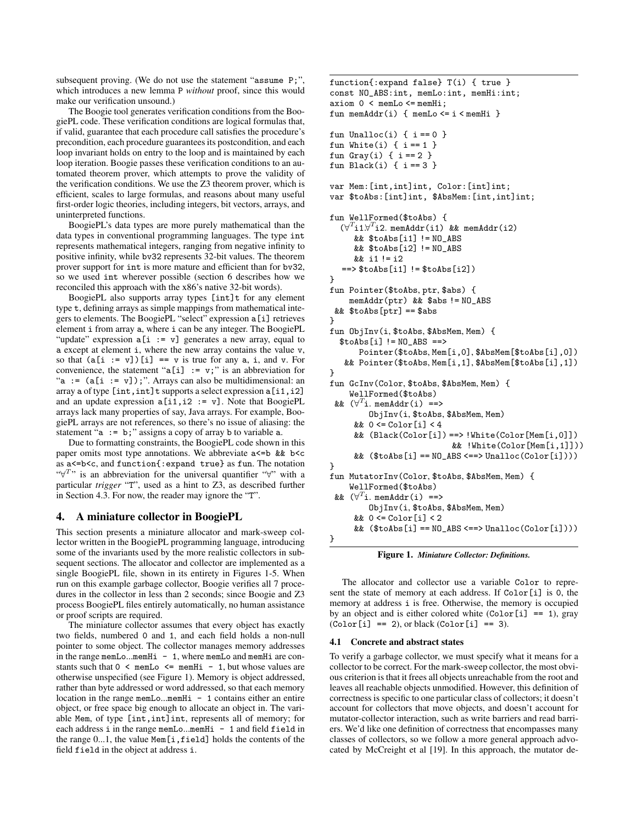subsequent proving. (We do not use the statement "assume P;", which introduces a new lemma P *without* proof, since this would make our verification unsound.)

The Boogie tool generates verification conditions from the BoogiePL code. These verification conditions are logical formulas that, if valid, guarantee that each procedure call satisfies the procedure's precondition, each procedure guarantees its postcondition, and each loop invariant holds on entry to the loop and is maintained by each loop iteration. Boogie passes these verification conditions to an automated theorem prover, which attempts to prove the validity of the verification conditions. We use the Z3 theorem prover, which is efficient, scales to large formulas, and reasons about many useful first-order logic theories, including integers, bit vectors, arrays, and uninterpreted functions.

BoogiePL's data types are more purely mathematical than the data types in conventional programming languages. The type int represents mathematical integers, ranging from negative infinity to positive infinity, while bv32 represents 32-bit values. The theorem prover support for int is more mature and efficient than for bv32, so we used int wherever possible (section 6 describes how we reconciled this approach with the x86's native 32-bit words).

BoogiePL also supports array types [int]t for any element type t, defining arrays as simple mappings from mathematical integers to elements. The BoogiePL "select" expression a[i] retrieves element i from array a, where i can be any integer. The BoogiePL "update" expression  $a[i := v]$  generates a new array, equal to a except at element i, where the new array contains the value v, so that  $(a[i := v])[i] == v$  is true for any a, i, and v. For convenience, the statement "a[i]  $:= v;$ " is an abbreviation for "a :=  $(a[i := v])$ ;". Arrays can also be multidimensional: an array a of type  $[\text{int},\text{int}]\text{t}$  supports a select expression a $[\text{i}1,\text{i}2]$ and an update expression  $a[i1,i2 := v]$ . Note that BoogiePL arrays lack many properties of say, Java arrays. For example, BoogiePL arrays are not references, so there's no issue of aliasing: the statement " $a := b$ ;" assigns a copy of array b to variable a.

Due to formatting constraints, the BoogiePL code shown in this paper omits most type annotations. We abbreviate  $a \leq b \& b \leq c$ as a<=b<c, and function{:expand true} as fun. The notation " $\forall$ <sup>T</sup>" is an abbreviation for the universal quantifier " $\forall$ " with a particular *trigger* "T", used as a hint to Z3, as described further in Section 4.3. For now, the reader may ignore the "T".

## 4. A miniature collector in BoogiePL

This section presents a miniature allocator and mark-sweep collector written in the BoogiePL programming language, introducing some of the invariants used by the more realistic collectors in subsequent sections. The allocator and collector are implemented as a single BoogiePL file, shown in its entirety in Figures 1-5. When run on this example garbage collector, Boogie verifies all 7 procedures in the collector in less than 2 seconds; since Boogie and Z3 process BoogiePL files entirely automatically, no human assistance or proof scripts are required.

The miniature collector assumes that every object has exactly two fields, numbered 0 and 1, and each field holds a non-null pointer to some object. The collector manages memory addresses in the range memLo...memHi  $-1$ , where memLo and memHi are constants such that  $0 \leq \text{memLo} \leq \text{memHi} - 1$ , but whose values are otherwise unspecified (see Figure 1). Memory is object addressed, rather than byte addressed or word addressed, so that each memory location in the range memLo...memHi - 1 contains either an entire object, or free space big enough to allocate an object in. The variable Mem, of type [int,int]int, represents all of memory; for each address i in the range memLo...memHi - 1 and field field in the range 0...1, the value Mem[i,field] holds the contents of the field field in the object at address i.

```
function{:expand false} T(i) { true }
const NO_ABS:int, memLo:int, memHi:int;
axiom 0 < memLo <= memHi;
fun memAddr(i) { memLo <= i < memHi }
fun Unalloc(i) { i == 0 }
fun White(i) { i == 1 }
fun Gray(i) { i == 2 }
fun Black(i) { i == 3 }
var Mem:[int,int]int, Color:[int]int;
var $toAbs:[int]int, $AbsMem:[int,int]int;
fun WellFormed($toAbs) {
  (\forall^T \texttt{i} 1 \forall^T \texttt{i} 2. memAddr(i1) && memAddr(i2)
     && $toAbs[i1] != NO_ABS
     && $toAbs[i2] != NO_ABS
     && i1 != i2
   ==> $toAbs[i1] != $toAbs[i2])
}
fun Pointer($toAbs, ptr, $abs) {
    memAddr(ptr) && $abs != NO_ABS
 &\& $toAbs[ptr] == $abs
}
fun ObjInv(i, $toAbs, $AbsMem, Mem) {
  $toAbs[i] != NO_ABS ==>Pointer($toAbs, Mem[i,0], $AbsMem[$toAbs[i],0])
   && Pointer($toAbs, Mem[i,1], $AbsMem[$toAbs[i],1])
}
fun GcInv(Color, $toAbs, $AbsMem, Mem) {
    WellFormed($toAbs)
 && (\forall^T \text{i.} \text{memAddr}(\text{i.}) ==ObjInv(i, $toAbs, $AbsMem, Mem)
     && 0 <= Color[i] < 4
     && (Black(Color[i]) ==> !White(Color[Mem[i,0]])
                            && !White(Color[Mem[i,1]]))
     & ( ($toAbs[i] == NO ABS <==> Unalloc(Color[i]))}
fun MutatorInv(Color, $toAbs, $AbsMem, Mem) {
    WellFormed($toAbs)
 && (\forall^T \text{i.} \text{memAddr}(\text{i.}) ==ObjInv(i, $toAbs, $AbsMem, Mem)
     && 0 <= Color[i] < 2
     & ( ($toAbs[i] == NO ABS <==> Unalloc(Color[i]))}
```


The allocator and collector use a variable Color to represent the state of memory at each address. If Color[i] is 0, the memory at address i is free. Otherwise, the memory is occupied by an object and is either colored white  $(Color[i] == 1)$ , gray  $(Color[i] == 2)$ , or black  $(Color[i] == 3)$ .

## 4.1 Concrete and abstract states

To verify a garbage collector, we must specify what it means for a collector to be correct. For the mark-sweep collector, the most obvious criterion is that it frees all objects unreachable from the root and leaves all reachable objects unmodified. However, this definition of correctness is specific to one particular class of collectors; it doesn't account for collectors that move objects, and doesn't account for mutator-collector interaction, such as write barriers and read barriers. We'd like one definition of correctness that encompasses many classes of collectors, so we follow a more general approach advocated by McCreight et al [19]. In this approach, the mutator de-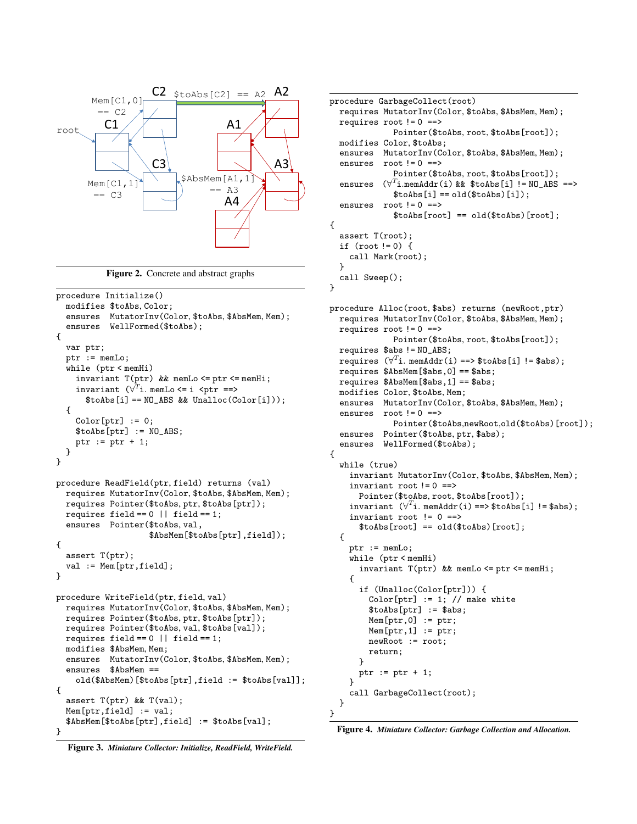

Figure 2. Concrete and abstract graphs

```
procedure Initialize()
  modifies $toAbs, Color;
  ensures MutatorInv(Color, $toAbs, $AbsMem, Mem);
  ensures WellFormed($toAbs);
{
  var ptr;
  ptr := memLo;
  while (ptr < memHi)
    invariant T(ptr) && memLo <= ptr <= memHi;
    invariant (\forall^Ti. memLo <= i <ptr ==>
      $toAbs[i] == NO_ABS && Unalloc(Color[i]));
  {
    Color[ptr] := 0;$toAbs[ptr] := NO_ABS;
    ptr := ptr +1;
 }
}
procedure ReadField(ptr, field) returns (val)
  requires MutatorInv(Color, $toAbs, $AbsMem, Mem);
  requires Pointer($toAbs, ptr, $toAbs[ptr]);
  requires field == 0 || field == 1;
  ensures Pointer($toAbs, val,
                    $AbsMem[$toAbs[ptr],field]);
{
  assert T(ptr);
  val := Mem[ptr,field];
}
procedure WriteField(ptr, field, val)
  requires MutatorInv(Color, $toAbs, $AbsMem, Mem);
  requires Pointer($toAbs, ptr, $toAbs[ptr]);
  requires Pointer($toAbs, val, $toAbs[val]);
  requires field == 0 || field == 1;
  modifies $AbsMem, Mem;
  ensures MutatorInv(Color, $toAbs, $AbsMem, Mem);
  ensures $AbsMem ==
    old($AbsMem)[$toAbs[ptr],field := $toAbs[val]];
{
  assert T(ptr) && T(val);
  Mem[ptr,field] := val;
  $AbsMem[$toAbs[ptr],field] := $toAbs[val];
}
```

```
procedure GarbageCollect(root)
  requires MutatorInv(Color, $toAbs, $AbsMem, Mem);
  requires root != 0 ==Pointer($toAbs, root, $toAbs[root]);
  modifies Color, $toAbs;
  ensures MutatorInv(Color, $toAbs, $AbsMem, Mem);
  ensures root != 0 ==Pointer($toAbs, root, $toAbs[root]);
  ensures
              Ti.memAddr(i) && $toAbs[i] != NO_ABS ==>
             $toAbs[i] == old($toAbs[i]);
  ensures root != 0 ==>
             $toAbs[root] == old($toAbs)[root];
{
  assert T(root);
  if (root != 0) {
    call Mark(root);
  }
  call Sweep();
}
procedure Alloc(root, $abs) returns (newRoot,ptr)
  requires MutatorInv(Color, $toAbs, $AbsMem, Mem);
  requires root != 0 ==Pointer($toAbs, root, $toAbs[root]);
  requires $abs != NO_ABS;
  requires (\forall^Ti. memAddr(i) ==> $toAbs[i] != $abs);
  requires $AbsMem[$abs,0] == $abs;
  requires $AbsMem[$abs,1] == $abs;
  modifies Color, $toAbs, Mem;
  ensures MutatorInv(Color, $toAbs, $AbsMem, Mem);
  ensures root != 0 ==Pointer($toAbs,newRoot,old($toAbs)[root]);
  ensures Pointer($toAbs, ptr, $abs);
  ensures WellFormed($toAbs);
{
  while (true)
    invariant MutatorInv(Color, $toAbs, $AbsMem, Mem);
    invariant root != 0 ==Pointer($toAbs, root, $toAbs[root]);
    invariant (\forall^Ti. memAddr(i) ==> $toAbs[i] != $abs);
    invariant root != 0 ==$toAbs[root] == old($toAbs)[root];
  {
    ptr := memLo;
    while (ptr < memHi)
      invariant T(\text{ptr}) && memLo <= ptr <= memHi;
    {
      if (Unalloc(Color[ptr])) {
        Color[ptr] := 1; // make white$toAbs[ptr] := $abs;
        Mem[ptr, 0] :=ptr;Mem[ptr,1] :=ptr;newRoot := root;
        return;
      }
      ptr := ptr +1;
    }
    call GarbageCollect(root);
  }
}
```
Figure 4. *Miniature Collector: Garbage Collection and Allocation.*

Figure 3. *Miniature Collector: Initialize, ReadField, WriteField.*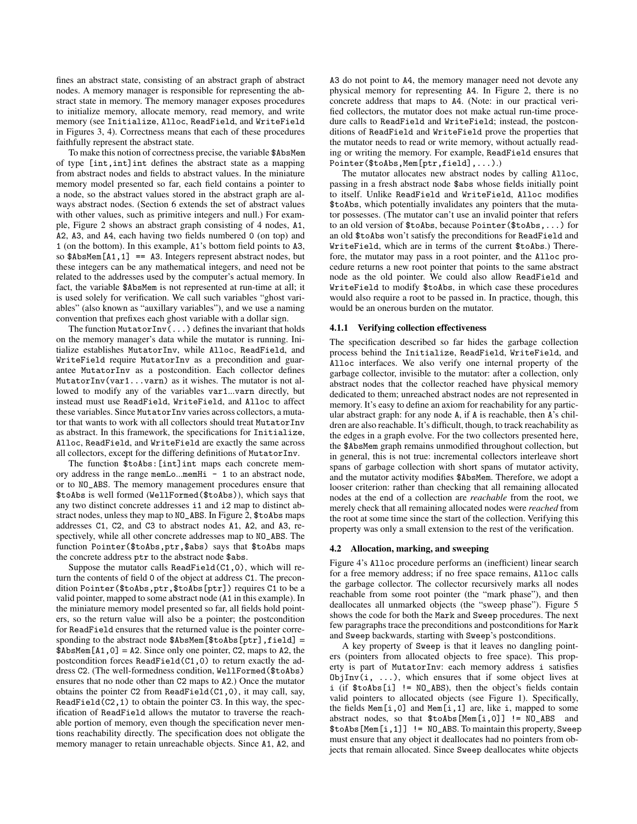fines an abstract state, consisting of an abstract graph of abstract nodes. A memory manager is responsible for representing the abstract state in memory. The memory manager exposes procedures to initialize memory, allocate memory, read memory, and write memory (see Initialize, Alloc, ReadField, and WriteField in Figures 3, 4). Correctness means that each of these procedures faithfully represent the abstract state.

To make this notion of correctness precise, the variable \$AbsMem of type [int,int]int defines the abstract state as a mapping from abstract nodes and fields to abstract values. In the miniature memory model presented so far, each field contains a pointer to a node, so the abstract values stored in the abstract graph are always abstract nodes. (Section 6 extends the set of abstract values with other values, such as primitive integers and null.) For example, Figure 2 shows an abstract graph consisting of 4 nodes, A1, A2, A3, and A4, each having two fields numbered 0 (on top) and 1 (on the bottom). In this example, A1's bottom field points to A3, so \$AbsMem[A1,1] == A3. Integers represent abstract nodes, but these integers can be any mathematical integers, and need not be related to the addresses used by the computer's actual memory. In fact, the variable \$AbsMem is not represented at run-time at all; it is used solely for verification. We call such variables "ghost variables" (also known as "auxillary variables"), and we use a naming convention that prefixes each ghost variable with a dollar sign.

The function MutatorInv(...) defines the invariant that holds on the memory manager's data while the mutator is running. Initialize establishes MutatorInv, while Alloc, ReadField, and WriteField require MutatorInv as a precondition and guarantee MutatorInv as a postcondition. Each collector defines MutatorInv(var1...varn) as it wishes. The mutator is not allowed to modify any of the variables var1...varn directly, but instead must use ReadField, WriteField, and Alloc to affect these variables. Since MutatorInv varies across collectors, a mutator that wants to work with all collectors should treat MutatorInv as abstract. In this framework, the specifications for Initialize, Alloc, ReadField, and WriteField are exactly the same across all collectors, except for the differing definitions of MutatorInv.

The function \$toAbs:[int]int maps each concrete memory address in the range memLo...memHi - 1 to an abstract node, or to NO\_ABS. The memory management procedures ensure that \$toAbs is well formed (WellFormed(\$toAbs)), which says that any two distinct concrete addresses i1 and i2 map to distinct abstract nodes, unless they map to NO\_ABS. In Figure 2, \$toAbs maps addresses C1, C2, and C3 to abstract nodes A1, A2, and A3, respectively, while all other concrete addresses map to NO\_ABS. The function Pointer(\$toAbs,ptr,\$abs) says that \$toAbs maps the concrete address ptr to the abstract node \$abs.

Suppose the mutator calls ReadField(C1,0), which will return the contents of field 0 of the object at address C1. The precondition Pointer(\$toAbs,ptr,\$toAbs[ptr]) requires C1 to be a valid pointer, mapped to some abstract node (A1 in this example). In the miniature memory model presented so far, all fields hold pointers, so the return value will also be a pointer; the postcondition for ReadField ensures that the returned value is the pointer corresponding to the abstract node \$AbsMem[\$toAbs[ptr],field] =  $\texttt{\$AbsMem}[A1, 0] = A2.$  Since only one pointer, C2, maps to A2, the postcondition forces ReadField(C1,0) to return exactly the address C2. (The well-formedness condition, WellFormed(\$toAbs) ensures that no node other than C2 maps to A2.) Once the mutator obtains the pointer C2 from ReadField(C1,0), it may call, say, ReadField(C2,1) to obtain the pointer C3. In this way, the specification of ReadField allows the mutator to traverse the reachable portion of memory, even though the specification never mentions reachability directly. The specification does not obligate the memory manager to retain unreachable objects. Since A1, A2, and A3 do not point to A4, the memory manager need not devote any physical memory for representing A4. In Figure 2, there is no concrete address that maps to A4. (Note: in our practical verified collectors, the mutator does not make actual run-time procedure calls to ReadField and WriteField; instead, the postconditions of ReadField and WriteField prove the properties that the mutator needs to read or write memory, without actually reading or writing the memory. For example, ReadField ensures that Pointer(\$toAbs,Mem[ptr,field],...).)

The mutator allocates new abstract nodes by calling Alloc, passing in a fresh abstract node \$abs whose fields initially point to itself. Unlike ReadField and WriteField, Alloc modifies \$toAbs, which potentially invalidates any pointers that the mutator possesses. (The mutator can't use an invalid pointer that refers to an old version of \$toAbs, because Pointer(\$toAbs,...) for an old \$toAbs won't satisfy the preconditions for ReadField and WriteField, which are in terms of the current \$toAbs.) Therefore, the mutator may pass in a root pointer, and the Alloc procedure returns a new root pointer that points to the same abstract node as the old pointer. We could also allow ReadField and WriteField to modify \$toAbs, in which case these procedures would also require a root to be passed in. In practice, though, this would be an onerous burden on the mutator.

### 4.1.1 Verifying collection effectiveness

The specification described so far hides the garbage collection process behind the Initialize, ReadField, WriteField, and Alloc interfaces. We also verify one internal property of the garbage collector, invisible to the mutator: after a collection, only abstract nodes that the collector reached have physical memory dedicated to them; unreached abstract nodes are not represented in memory. It's easy to define an axiom for reachability for any particular abstract graph: for any node A, if A is reachable, then A's children are also reachable. It's difficult, though, to track reachability as the edges in a graph evolve. For the two collectors presented here, the \$AbsMem graph remains unmodified throughout collection, but in general, this is not true: incremental collectors interleave short spans of garbage collection with short spans of mutator activity, and the mutator activity modifies \$AbsMem. Therefore, we adopt a looser criterion: rather than checking that all remaining allocated nodes at the end of a collection are *reachable* from the root, we merely check that all remaining allocated nodes were *reached* from the root at some time since the start of the collection. Verifying this property was only a small extension to the rest of the verification.

#### 4.2 Allocation, marking, and sweeping

Figure 4's Alloc procedure performs an (inefficient) linear search for a free memory address; if no free space remains, Alloc calls the garbage collector. The collector recursively marks all nodes reachable from some root pointer (the "mark phase"), and then deallocates all unmarked objects (the "sweep phase"). Figure 5 shows the code for both the Mark and Sweep procedures. The next few paragraphs trace the preconditions and postconditions for Mark and Sweep backwards, starting with Sweep's postconditions.

A key property of Sweep is that it leaves no dangling pointers (pointers from allocated objects to free space). This property is part of MutatorInv: each memory address i satisfies  $ObjInv(i, \ldots)$ , which ensures that if some object lives at i (if \$toAbs[i] != NO\_ABS), then the object's fields contain valid pointers to allocated objects (see Figure 1). Specifically, the fields Mem[i,0] and Mem[i,1] are, like i, mapped to some abstract nodes, so that \$toAbs[Mem[i,0]] != NO\_ABS and \$toAbs[Mem[i,1]] != NO\_ABS. To maintain this property, Sweep must ensure that any object it deallocates had no pointers from objects that remain allocated. Since Sweep deallocates white objects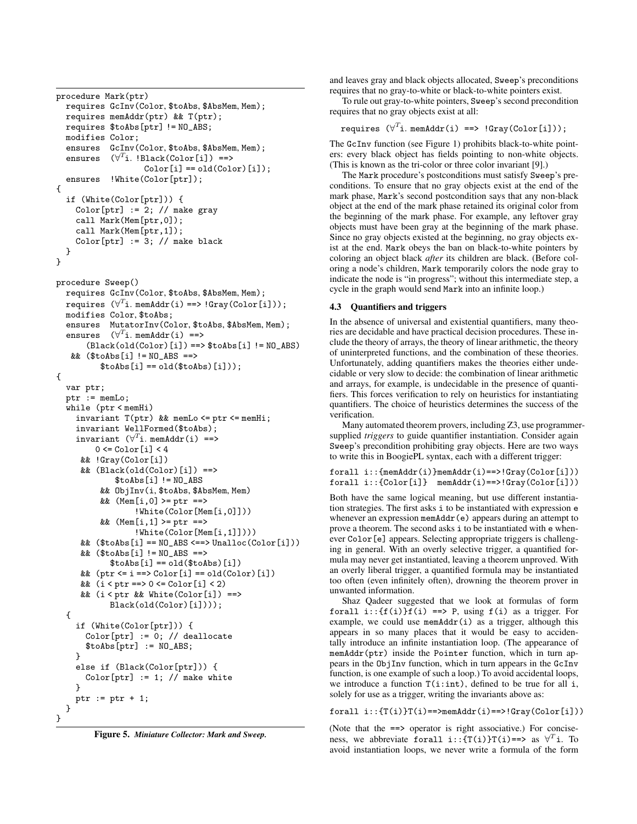```
procedure Mark(ptr)
  requires GcInv(Color, $toAbs, $AbsMem, Mem);
  requires memAddr(ptr) && T(ptr);
  requires $toAbs[ptr] != NO_ABS;
  modifies Color;
  ensures GcInv(Color, $toAbs, $AbsMem, Mem);
  ensures
               Ti. !Black(Color[i]) ==>
                    Color[i] == old(Color)[i]);
  ensures !White(Color[ptr]);
{
  if (White(Color[ptr])) {
    Color[ptr] := 2; // make graycall Mark(Mem[ptr,0]);
    call Mark(Mem[ptr,1]);
    Color[ptr] := 3; // make black}
}
procedure Sweep()
  requires GcInv(Color, $toAbs, $AbsMem, Mem);
  requires (\forall^T\text{i.} \, \text{memAdar} \, (\text{i}) \text{ == } > !Gray(Color[i]));
  modifies Color, $toAbs;
  ensures MutatorInv(Color, $toAbs, $AbsMem, Mem);
  ensures (\forall^T \text{i.} \text{memAddr}(\text{i}) ==(Black(old(Color)[i]) ==> $toAbs[i] != NO_ABS)&& ($toAbs[i] != NO_ABS ==>
          $toAbs[i] == old($toAbs)[i]),{
  var ptr;
  ptr := memLo;
  while (ptr < memHi)
    invariant T(ptr) && memLo <= ptr <= memHi;
    invariant WellFormed($toAbs);
    invariant (\forall^Ti. memAddr(i) ==>
        0 \leq Color[i] \leq 4&& !Gray(Color[i])
     && (Black(old(Color)[i]) ==>
             $toAbs[i] != NO<sub>ABS</sub>
          && ObjInv(i, $toAbs, $AbsMem, Mem)
          && (Mem[i,0] >= ptr ==>
                  !White(Color[Mem[i,0]]))
          && (Mem[i,1] > = ptr ==)!White(Color[Mem[i,1]])))
     & ($toAbs[i] == NO_ABS <==> Unalloc(Color[i]))
     && ($toAbs[i] != NO_ABS ==>
            $toAbs[i] == old ($toAbs[i])&& (ptr \leftarrow i ==> Color[i] == old(Color)[i])&& (i < ptr == 0 < = Color[i] < 2)&& (i < ptr && White(Color[i]) ==>
            Black(old(Color)[i])));
  {
    if (White(Color[ptr])) {
      Color[ptr] := 0; // deallocate
      $toAbs[ptr] := NO_ABS;
    }
    else if (Black(Color[ptr])) {
      Color[ptr] := 1; // make white}
    ptr := ptr +1;
 }
}
```
Figure 5. *Miniature Collector: Mark and Sweep.*

and leaves gray and black objects allocated, Sweep's preconditions requires that no gray-to-white or black-to-white pointers exist.

To rule out gray-to-white pointers, Sweep's second precondition requires that no gray objects exist at all:

# requires  $(\forall^T$ i. memAddr(i) ==> !Gray(Color[i]));

The GcInv function (see Figure 1) prohibits black-to-white pointers: every black object has fields pointing to non-white objects. (This is known as the tri-color or three color invariant [9].)

The Mark procedure's postconditions must satisfy Sweep's preconditions. To ensure that no gray objects exist at the end of the mark phase, Mark's second postcondition says that any non-black object at the end of the mark phase retained its original color from the beginning of the mark phase. For example, any leftover gray objects must have been gray at the beginning of the mark phase. Since no gray objects existed at the beginning, no gray objects exist at the end. Mark obeys the ban on black-to-white pointers by coloring an object black *after* its children are black. (Before coloring a node's children, Mark temporarily colors the node gray to indicate the node is "in progress"; without this intermediate step, a cycle in the graph would send Mark into an infinite loop.)

#### 4.3 Quantifiers and triggers

In the absence of universal and existential quantifiers, many theories are decidable and have practical decision procedures. These include the theory of arrays, the theory of linear arithmetic, the theory of uninterpreted functions, and the combination of these theories. Unfortunately, adding quantifiers makes the theories either undecidable or very slow to decide: the combination of linear arithmetic and arrays, for example, is undecidable in the presence of quantifiers. This forces verification to rely on heuristics for instantiating quantifiers. The choice of heuristics determines the success of the verification.

Many automated theorem provers, including Z3, use programmersupplied *triggers* to guide quantifier instantiation. Consider again Sweep's precondition prohibiting gray objects. Here are two ways to write this in BoogiePL syntax, each with a different trigger:

forall i::{memAddr(i)}memAddr(i)==>!Gray(Color[i])) forall i::{Color[i]} memAddr(i)==>!Gray(Color[i]))

Both have the same logical meaning, but use different instantiation strategies. The first asks i to be instantiated with expression e whenever an expression memAddr(e) appears during an attempt to prove a theorem. The second asks i to be instantiated with e whenever Color[e] appears. Selecting appropriate triggers is challenging in general. With an overly selective trigger, a quantified formula may never get instantiated, leaving a theorem unproved. With an overly liberal trigger, a quantified formula may be instantiated too often (even infinitely often), drowning the theorem prover in unwanted information.

Shaz Qadeer suggested that we look at formulas of form forall  $i: f(i)$ f(i) ==> P, using  $f(i)$  as a trigger. For example, we could use  $m = \text{A} d \text{d} \text{r}(i)$  as a trigger, although this appears in so many places that it would be easy to accidentally introduce an infinite instantiation loop. (The appearance of memAddr(ptr) inside the Pointer function, which in turn appears in the ObjInv function, which in turn appears in the GcInv function, is one example of such a loop.) To avoid accidental loops, we introduce a function  $T(i:int)$ , defined to be true for all i, solely for use as a trigger, writing the invariants above as:

forall  $i::{T(i)}T(i) == \text{memAddr}(i) == \text{lray}(Color[i]))$ 

(Note that the ==> operator is right associative.) For conciseness, we abbreviate for all  $i: \{T(i)\}T(i) == >$  as  $\forall^{T} i$ . To avoid instantiation loops, we never write a formula of the form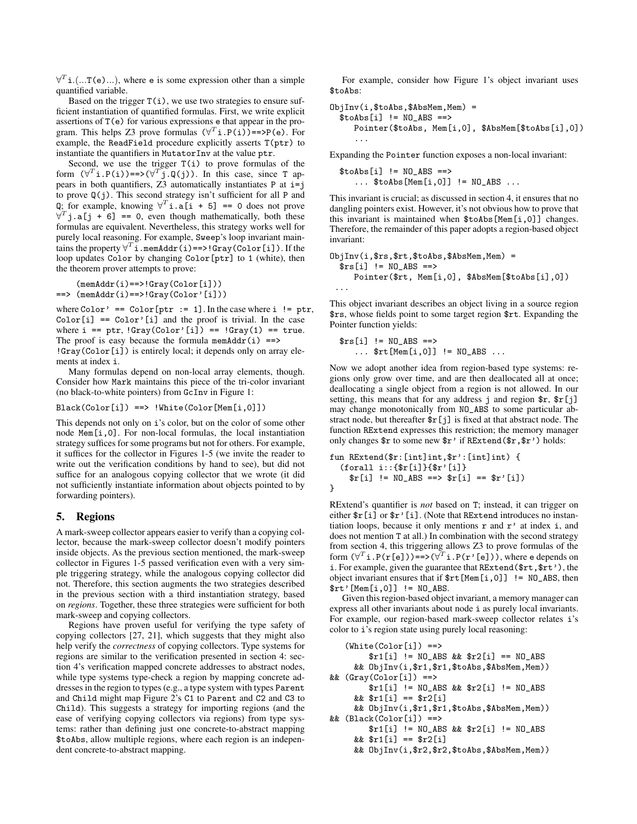$\forall^{T}$  i.(...T(e)...), where e is some expression other than a simple quantified variable.

Based on the trigger  $T(i)$ , we use two strategies to ensure sufficient instantiation of quantified formulas. First, we write explicit assertions of T(e) for various expressions e that appear in the program. This helps Z3 prove formulas  $(\forall^T \mathbf{i} \cdot P(\mathbf{i})) = \Rightarrow P(\mathbf{e})$ . For example, the ReadField procedure explicitly asserts T(ptr) to instantiate the quantifiers in MutatorInv at the value ptr.

Second, we use the trigger  $T(i)$  to prove formulas of the form  $(\forall^T \mathbf{i} \cdot P(\mathbf{i})) == \mathbf{i} (\forall^T \mathbf{j} \cdot Q(\mathbf{j}))$ . In this case, since T appears in both quantifiers, Z3 automatically instantiates P at  $i=j$ to prove Q(j). This second strategy isn't sufficient for all P and Q; for example, knowing  $\forall^{T}$ **i**. a[**i** + 5] = 0 does not prove  $\forall$ <sup>T</sup> j.a[j + 6] == 0, even though mathematically, both these formulas are equivalent. Nevertheless, this strategy works well for purely local reasoning. For example, Sweep's loop invariant maintains the property  $\forall^T \textbf{i}$  . memAddr(i)==>!Gray(Color[i]). If the loop updates Color by changing Color[ptr] to 1 (white), then the theorem prover attempts to prove:

```
(memAddr(i)==>!Gray(Color[i]))
\Rightarrow (memAddr(i) = = >!Gray(Color'[i]))
```
where Color' ==  $Color[ptr := 1]$ . In the case where  $i$  != ptr,  $Color[i] == Color'[i] and the proof is trivial. In the case$ where  $i == ptr$ ,  $!Gray(Color'[i]) == !Gray(1) == true$ . The proof is easy because the formula memAddr(i)  $==$ !Gray(Color[i]) is entirely local; it depends only on array elements at index i.

Many formulas depend on non-local array elements, though. Consider how Mark maintains this piece of the tri-color invariant (no black-to-white pointers) from GcInv in Figure 1:

Black(Color[i]) ==> !White(Color[Mem[i,0]])

This depends not only on i's color, but on the color of some other node Mem[i,0]. For non-local formulas, the local instantiation strategy suffices for some programs but not for others. For example, it suffices for the collector in Figures 1-5 (we invite the reader to write out the verification conditions by hand to see), but did not suffice for an analogous copying collector that we wrote (it did not sufficiently instantiate information about objects pointed to by forwarding pointers).

## 5. Regions

A mark-sweep collector appears easier to verify than a copying collector, because the mark-sweep collector doesn't modify pointers inside objects. As the previous section mentioned, the mark-sweep collector in Figures 1-5 passed verification even with a very simple triggering strategy, while the analogous copying collector did not. Therefore, this section augments the two strategies described in the previous section with a third instantiation strategy, based on *regions*. Together, these three strategies were sufficient for both mark-sweep and copying collectors.

Regions have proven useful for verifying the type safety of copying collectors [27, 21], which suggests that they might also help verify the *correctness* of copying collectors. Type systems for regions are similar to the verification presented in section 4: section 4's verification mapped concrete addresses to abstract nodes, while type systems type-check a region by mapping concrete addresses in the region to types (e.g., a type system with types Parent and Child might map Figure 2's C1 to Parent and C2 and C3 to Child). This suggests a strategy for importing regions (and the ease of verifying copying collectors via regions) from type systems: rather than defining just one concrete-to-abstract mapping \$toAbs, allow multiple regions, where each region is an independent concrete-to-abstract mapping.

For example, consider how Figure 1's object invariant uses \$toAbs:

```
ObjInv(i, $toAbs, $AbsMem, Mem) =$toAbs[i] != NO_ABS ==>
     Pointer($toAbs, Mem[i,0], $AbsMem[$toAbs[i],0])
     ...
```
Expanding the Pointer function exposes a non-local invariant:

 $$toAbs[i]$  !=  $NO_ABS$  ==>  $\ldots$  \$toAbs[Mem[i,0]] != NO\_ABS  $\ldots$ 

This invariant is crucial; as discussed in section 4, it ensures that no dangling pointers exist. However, it's not obvious how to prove that this invariant is maintained when \$toAbs[Mem[i,0]] changes. Therefore, the remainder of this paper adopts a region-based object invariant:

```
ObjInv(i,$rs,$rt,$toAbs,$AbsMem,Mem) =
  \frac{\text{fs}}{\text{fs}}[i] != NO_ABS ==>
      Pointer($rt, Mem[i,0], $AbsMem[$toAbs[i],0])
 ...
```
This object invariant describes an object living in a source region \$rs, whose fields point to some target region \$rt. Expanding the Pointer function yields:

\$rs[i] != NO\_ABS ==> ...  $tr[Mem[i, 0]]$  !=  $NO_ABS$  ...

Now we adopt another idea from region-based type systems: regions only grow over time, and are then deallocated all at once; deallocating a single object from a region is not allowed. In our setting, this means that for any address j and region  $r, r[1]$ may change monotonically from NO\_ABS to some particular abstract node, but thereafter  $r[i]$  is fixed at that abstract node. The function RExtend expresses this restriction; the memory manager only changes \$r to some new \$r' if RExtend(\$r,\$r') holds:

```
fun RExtend($r:[int]int,$r':[int]int) {
  (forall i::{$r[i]}{$r'[i]}
    fr[i] != NO_ABS ==> fr[i] == fr'[i])
}
```
RExtend's quantifier is *not* based on T; instead, it can trigger on either  $r[i]$  or  $r'[i]$ . (Note that RExtend introduces no instantiation loops, because it only mentions  $\mathbf r$  and  $\mathbf r'$  at index i, and does not mention T at all.) In combination with the second strategy from section 4, this triggering allows Z3 to prove formulas of the form  $(\forall^T \texttt{i}. \texttt{P}(\texttt{r}[e])) \equiv \Rightarrow (\forall^T \texttt{i}. \texttt{P}(\texttt{r'}[e]))$ , where e depends on i. For example, given the guarantee that RExtend(\$rt,\$rt'), the object invariant ensures that if \$rt[Mem[i,0]] != NO\_ABS, then  $str'$ [Mem[i,0]]  $!=$  NO\_ABS.

Given this region-based object invariant, a memory manager can express all other invariants about node i as purely local invariants. For example, our region-based mark-sweep collector relates i's color to i's region state using purely local reasoning:

```
(White(Color[i]) ==>
        $r1[i] != NO_ABS && $r2[i] == NO_ABS
     && ObjInv(i,$r1,$r1,$toAbs,$AbsMem,Mem))
&& (Gray(Color[i]) ==$r1[i] != NO_ABS && $r2[i] != NO_ABS
     &\& \frac{1}{1} = \frac{1}{2}&& ObjInv(i,$r1,$r1,$toAbs,$AbsMem,Mem))
&& (Black(Color[i]) ==>
        $r1[i] != NO_ABS && $r2[i] != NO_ABS
     &\& \frac{1}{1} = \frac{1}{2}&& ObjInv(i,$r2,$r2,$toAbs,$AbsMem,Mem))
```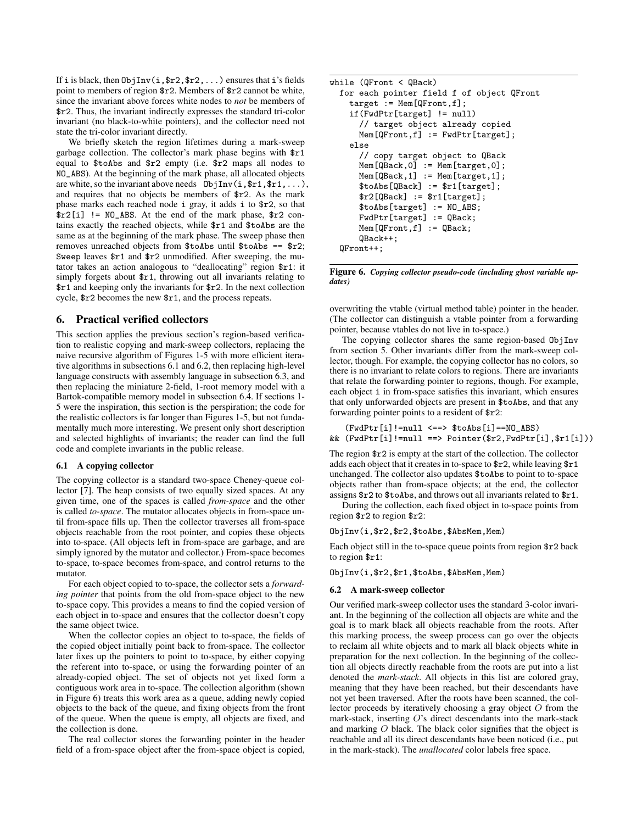If i is black, then  $\text{ObjInv}(i, $r2, $r2, \ldots)$  ensures that i's fields point to members of region \$r2. Members of \$r2 cannot be white, since the invariant above forces white nodes to *not* be members of \$r2. Thus, the invariant indirectly expresses the standard tri-color invariant (no black-to-white pointers), and the collector need not state the tri-color invariant directly.

We briefly sketch the region lifetimes during a mark-sweep garbage collection. The collector's mark phase begins with \$r1 equal to \$toAbs and \$r2 empty (i.e. \$r2 maps all nodes to NO\_ABS). At the beginning of the mark phase, all allocated objects are white, so the invariant above needs  $ObjInv(i, $r1,$ and requires that no objects be members of \$r2. As the mark phase marks each reached node i gray, it adds i to \$r2, so that \$r2[i] != NO\_ABS. At the end of the mark phase, \$r2 contains exactly the reached objects, while \$r1 and \$toAbs are the same as at the beginning of the mark phase. The sweep phase then removes unreached objects from  $t_{\text{toAbs}}$  until  $t_{\text{toAbs}}$  ==  $r_{2}$ ; Sweep leaves \$r1 and \$r2 unmodified. After sweeping, the mutator takes an action analogous to "deallocating" region \$r1: it simply forgets about  $r_1$ , throwing out all invariants relating to \$r1 and keeping only the invariants for \$r2. In the next collection cycle, \$r2 becomes the new \$r1, and the process repeats.

## 6. Practical verified collectors

This section applies the previous section's region-based verification to realistic copying and mark-sweep collectors, replacing the naive recursive algorithm of Figures 1-5 with more efficient iterative algorithms in subsections 6.1 and 6.2, then replacing high-level language constructs with assembly language in subsection 6.3, and then replacing the miniature 2-field, 1-root memory model with a Bartok-compatible memory model in subsection 6.4. If sections 1- 5 were the inspiration, this section is the perspiration; the code for the realistic collectors is far longer than Figures 1-5, but not fundamentally much more interesting. We present only short description and selected highlights of invariants; the reader can find the full code and complete invariants in the public release.

#### 6.1 A copying collector

The copying collector is a standard two-space Cheney-queue collector [7]. The heap consists of two equally sized spaces. At any given time, one of the spaces is called *from-space* and the other is called *to-space*. The mutator allocates objects in from-space until from-space fills up. Then the collector traverses all from-space objects reachable from the root pointer, and copies these objects into to-space. (All objects left in from-space are garbage, and are simply ignored by the mutator and collector.) From-space becomes to-space, to-space becomes from-space, and control returns to the mutator.

For each object copied to to-space, the collector sets a *forwarding pointer* that points from the old from-space object to the new to-space copy. This provides a means to find the copied version of each object in to-space and ensures that the collector doesn't copy the same object twice.

When the collector copies an object to to-space, the fields of the copied object initially point back to from-space. The collector later fixes up the pointers to point to to-space, by either copying the referent into to-space, or using the forwarding pointer of an already-copied object. The set of objects not yet fixed form a contiguous work area in to-space. The collection algorithm (shown in Figure 6) treats this work area as a queue, adding newly copied objects to the back of the queue, and fixing objects from the front of the queue. When the queue is empty, all objects are fixed, and the collection is done.

The real collector stores the forwarding pointer in the header field of a from-space object after the from-space object is copied,

```
while (QFront < QBack)
  for each pointer field f of object QFront
    target := Mem[QFront,f];
    if(FwdPtr[target] != null)
      // target object already copied
      Mem[QFront, f] := FwdPtr[target];else
      // copy target object to QBack
      Mem[QBack, 0] := Mem[target, 0];Mem[QBack, 1] := Mem[target, 1];$toAbs[QBack] := $r1[target];
      $r2[QBack] := $r1[target];$toAbs[target] := NO_ABS;
      FwdPtr[target] := QBack;
      Mem[QFront,f] := QBack;
      QBack++;
  QFront++;
```
Figure 6. *Copying collector pseudo-code (including ghost variable updates)*

overwriting the vtable (virtual method table) pointer in the header. (The collector can distinguish a vtable pointer from a forwarding pointer, because vtables do not live in to-space.)

The copying collector shares the same region-based ObjInv from section 5. Other invariants differ from the mark-sweep collector, though. For example, the copying collector has no colors, so there is no invariant to relate colors to regions. There are invariants that relate the forwarding pointer to regions, though. For example, each object i in from-space satisfies this invariant, which ensures that only unforwarded objects are present in \$toAbs, and that any forwarding pointer points to a resident of \$r2:

```
(FwdPtr[i]!=null <==> $toAbs[i]==NO_ABS)
&& (FwdPtr[i]!=null ==> Pointer($r2,FwdPtr[i],$r1[i]))
```
The region \$r2 is empty at the start of the collection. The collector adds each object that it creates in to-space to \$r2, while leaving \$r1 unchanged. The collector also updates \$toAbs to point to to-space objects rather than from-space objects; at the end, the collector assigns \$r2 to \$toAbs, and throws out all invariants related to \$r1.

During the collection, each fixed object in to-space points from region \$r2 to region \$r2:

ObjInv(i,\$r2,\$r2,\$toAbs,\$AbsMem,Mem)

Each object still in the to-space queue points from region \$r2 back to region \$r1:

ObjInv(i,\$r2,\$r1,\$toAbs,\$AbsMem,Mem)

#### 6.2 A mark-sweep collector

Our verified mark-sweep collector uses the standard 3-color invariant. In the beginning of the collection all objects are white and the goal is to mark black all objects reachable from the roots. After this marking process, the sweep process can go over the objects to reclaim all white objects and to mark all black objects white in preparation for the next collection. In the beginning of the collection all objects directly reachable from the roots are put into a list denoted the *mark-stack*. All objects in this list are colored gray, meaning that they have been reached, but their descendants have not yet been traversed. After the roots have been scanned, the collector proceeds by iteratively choosing a gray object O from the mark-stack, inserting O's direct descendants into the mark-stack and marking O black. The black color signifies that the object is reachable and all its direct descendants have been noticed (i.e., put in the mark-stack). The *unallocated* color labels free space.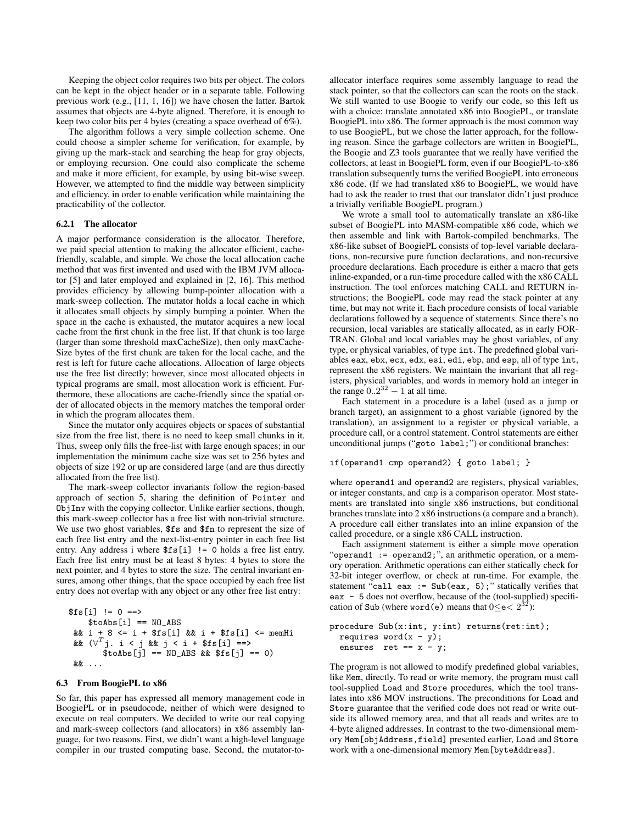Keeping the object color requires two bits per object. The colors can be kept in the object header or in a separate table. Following previous work (e.g., [11, 1, 16]) we have chosen the latter. Bartok assumes that objects are 4-byte aligned. Therefore, it is enough to keep two color bits per 4 bytes (creating a space overhead of 6%).

The algorithm follows a very simple collection scheme. One could choose a simpler scheme for verification, for example, by giving up the mark-stack and searching the heap for gray objects, or employing recursion. One could also complicate the scheme and make it more efficient, for example, by using bit-wise sweep. However, we attempted to find the middle way between simplicity and efficiency, in order to enable verification while maintaining the practicability of the collector.

## 6.2.1 The allocator

A major performance consideration is the allocator. Therefore, we paid special attention to making the allocator efficient, cachefriendly, scalable, and simple. We chose the local allocation cache method that was first invented and used with the IBM JVM allocator [5] and later employed and explained in [2, 16]. This method provides efficiency by allowing bump-pointer allocation with a mark-sweep collection. The mutator holds a local cache in which it allocates small objects by simply bumping a pointer. When the space in the cache is exhausted, the mutator acquires a new local cache from the first chunk in the free list. If that chunk is too large (larger than some threshold maxCacheSize), then only maxCache-Size bytes of the first chunk are taken for the local cache, and the rest is left for future cache allocations. Allocation of large objects use the free list directly; however, since most allocated objects in typical programs are small, most allocation work is efficient. Furthermore, these allocations are cache-friendly since the spatial order of allocated objects in the memory matches the temporal order in which the program allocates them.

Since the mutator only acquires objects or spaces of substantial size from the free list, there is no need to keep small chunks in it. Thus, sweep only fills the free-list with large enough spaces; in our implementation the minimum cache size was set to 256 bytes and objects of size 192 or up are considered large (and are thus directly allocated from the free list).

The mark-sweep collector invariants follow the region-based approach of section 5, sharing the definition of Pointer and ObjInv with the copying collector. Unlike earlier sections, though, this mark-sweep collector has a free list with non-trivial structure. We use two ghost variables,  $f s$  and  $f n$  to represent the size of each free list entry and the next-list-entry pointer in each free list entry. Any address i where  $f[s[i]$  != 0 holds a free list entry. Each free list entry must be at least 8 bytes: 4 bytes to store the next pointer, and 4 bytes to store the size. The central invariant ensures, among other things, that the space occupied by each free list entry does not overlap with any object or any other free list entry:

```
$fs[i] != 0 =>$toAbs[i] == NO_ABS& 2 & i + 8 <= i + $fs[i] & & i + $fs[i] <= \text{memHi}&& (\forall^T \texttt{j. i} < \texttt{j} && \texttt{j} < \texttt{i} + \$ \texttt{fs}[\texttt{i}] ==>
         $toAbs[j] == NO_ABS & $fs[j] == 0)&& ...
```
## 6.3 From BoogiePL to x86

So far, this paper has expressed all memory management code in BoogiePL or in pseudocode, neither of which were designed to execute on real computers. We decided to write our real copying and mark-sweep collectors (and allocators) in x86 assembly language, for two reasons. First, we didn't want a high-level language compiler in our trusted computing base. Second, the mutator-toallocator interface requires some assembly language to read the stack pointer, so that the collectors can scan the roots on the stack. We still wanted to use Boogie to verify our code, so this left us with a choice: translate annotated x86 into BoogiePL, or translate BoogiePL into x86. The former approach is the most common way to use BoogiePL, but we chose the latter approach, for the following reason. Since the garbage collectors are written in BoogiePL, the Boogie and Z3 tools guarantee that we really have verified the collectors, at least in BoogiePL form, even if our BoogiePL-to-x86 translation subsequently turns the verified BoogiePL into erroneous x86 code. (If we had translated x86 to BoogiePL, we would have had to ask the reader to trust that our translator didn't just produce a trivially verifiable BoogiePL program.)

We wrote a small tool to automatically translate an x86-like subset of BoogiePL into MASM-compatible x86 code, which we then assemble and link with Bartok-compiled benchmarks. The x86-like subset of BoogiePL consists of top-level variable declarations, non-recursive pure function declarations, and non-recursive procedure declarations. Each procedure is either a macro that gets inline-expanded, or a run-time procedure called with the x86 CALL instruction. The tool enforces matching CALL and RETURN instructions; the BoogiePL code may read the stack pointer at any time, but may not write it. Each procedure consists of local variable declarations followed by a sequence of statements. Since there's no recursion, local variables are statically allocated, as in early FOR-TRAN. Global and local variables may be ghost variables, of any type, or physical variables, of type int. The predefined global variables eax, ebx, ecx, edx, esi, edi, ebp, and esp, all of type int, represent the x86 registers. We maintain the invariant that all registers, physical variables, and words in memory hold an integer in the range  $0.2^{32} - 1$  at all time.

Each statement in a procedure is a label (used as a jump or branch target), an assignment to a ghost variable (ignored by the translation), an assignment to a register or physical variable, a procedure call, or a control statement. Control statements are either unconditional jumps ("goto label;") or conditional branches:

## if(operand1 cmp operand2) { goto label; }

where operand1 and operand2 are registers, physical variables, or integer constants, and cmp is a comparison operator. Most statements are translated into single x86 instructions, but conditional branches translate into 2 x86 instructions (a compare and a branch). A procedure call either translates into an inline expansion of the called procedure, or a single x86 CALL instruction.

Each assignment statement is either a simple move operation "operand1 := operand2;", an arithmetic operation, or a memory operation. Arithmetic operations can either statically check for 32-bit integer overflow, or check at run-time. For example, the statement "call eax := Sub(eax, 5);" statically verifies that eax - 5 does not overflow, because of the (tool-supplied) specification of Sub (where word(e) means that  $0 \le e < 2^{32}$ ):

procedure Sub(x:int, y:int) returns(ret:int); requires  $word(x - y)$ ; ensures ret ==  $x - y$ ;

The program is not allowed to modify predefined global variables, like Mem, directly. To read or write memory, the program must call tool-supplied Load and Store procedures, which the tool translates into x86 MOV instructions. The preconditions for Load and Store guarantee that the verified code does not read or write outside its allowed memory area, and that all reads and writes are to 4-byte aligned addresses. In contrast to the two-dimensional memory Mem[objAddress,field] presented earlier, Load and Store work with a one-dimensional memory Mem[byteAddress].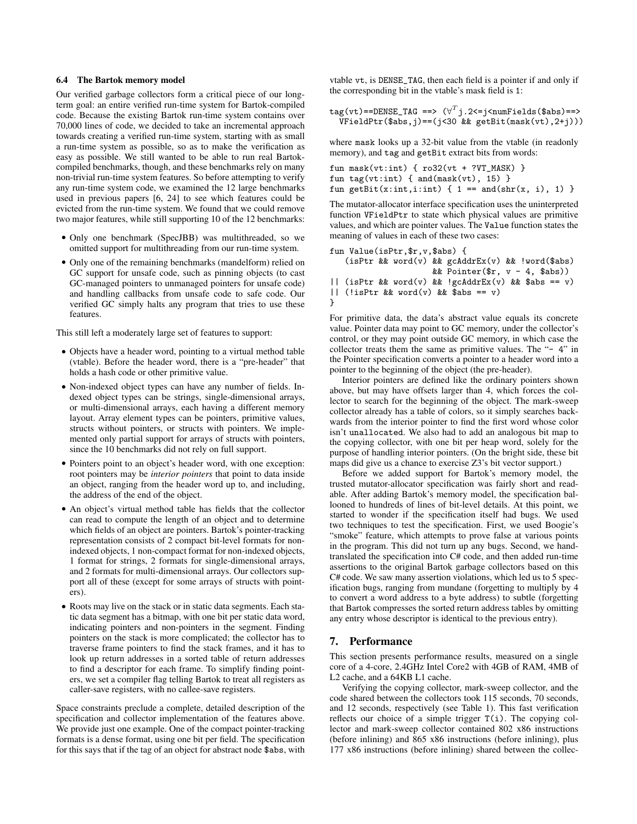## 6.4 The Bartok memory model

Our verified garbage collectors form a critical piece of our longterm goal: an entire verified run-time system for Bartok-compiled code. Because the existing Bartok run-time system contains over 70,000 lines of code, we decided to take an incremental approach towards creating a verified run-time system, starting with as small a run-time system as possible, so as to make the verification as easy as possible. We still wanted to be able to run real Bartokcompiled benchmarks, though, and these benchmarks rely on many non-trivial run-time system features. So before attempting to verify any run-time system code, we examined the 12 large benchmarks used in previous papers [6, 24] to see which features could be evicted from the run-time system. We found that we could remove two major features, while still supporting 10 of the 12 benchmarks:

- Only one benchmark (SpecJBB) was multithreaded, so we omitted support for multithreading from our run-time system.
- Only one of the remaining benchmarks (mandelform) relied on GC support for unsafe code, such as pinning objects (to cast GC-managed pointers to unmanaged pointers for unsafe code) and handling callbacks from unsafe code to safe code. Our verified GC simply halts any program that tries to use these features.

This still left a moderately large set of features to support:

- Objects have a header word, pointing to a virtual method table (vtable). Before the header word, there is a "pre-header" that holds a hash code or other primitive value.
- Non-indexed object types can have any number of fields. Indexed object types can be strings, single-dimensional arrays, or multi-dimensional arrays, each having a different memory layout. Array element types can be pointers, primitive values, structs without pointers, or structs with pointers. We implemented only partial support for arrays of structs with pointers, since the 10 benchmarks did not rely on full support.
- Pointers point to an object's header word, with one exception: root pointers may be *interior pointers* that point to data inside an object, ranging from the header word up to, and including, the address of the end of the object.
- An object's virtual method table has fields that the collector can read to compute the length of an object and to determine which fields of an object are pointers. Bartok's pointer-tracking representation consists of 2 compact bit-level formats for nonindexed objects, 1 non-compact format for non-indexed objects, 1 format for strings, 2 formats for single-dimensional arrays, and 2 formats for multi-dimensional arrays. Our collectors support all of these (except for some arrays of structs with pointers).
- Roots may live on the stack or in static data segments. Each static data segment has a bitmap, with one bit per static data word, indicating pointers and non-pointers in the segment. Finding pointers on the stack is more complicated; the collector has to traverse frame pointers to find the stack frames, and it has to look up return addresses in a sorted table of return addresses to find a descriptor for each frame. To simplify finding pointers, we set a compiler flag telling Bartok to treat all registers as caller-save registers, with no callee-save registers.

Space constraints preclude a complete, detailed description of the specification and collector implementation of the features above. We provide just one example. One of the compact pointer-tracking formats is a dense format, using one bit per field. The specification for this says that if the tag of an object for abstract node \$abs, with

vtable vt, is DENSE\_TAG, then each field is a pointer if and only if the corresponding bit in the vtable's mask field is 1:

 $\texttt{tag}(\texttt{vt})\texttt{==DENSE\_TAG} \texttt{==} > (\forall^T \texttt{j}.2 \texttt{<=j} \texttt{numFields}(\texttt{\$abs})\texttt{==}$ VFieldPtr(\$abs,j)==(j<30 && getBit(mask(vt),2+j)))

where mask looks up a 32-bit value from the vtable (in readonly memory), and tag and getBit extract bits from words:

```
fun mask(vt:int) { ro32(vt + ?VT_MASK) }
fun tag(vt:int) { and(maxk(vt), 15) }
fun getBit(x:int,i:int) { 1 == and(shr(x, i), 1) }
```
The mutator-allocator interface specification uses the uninterpreted function VFieldPtr to state which physical values are primitive values, and which are pointer values. The Value function states the meaning of values in each of these two cases:

```
fun Value(isPtr,$r,v,$abs) {
   (isPtr && word(v) && gcAddrEx(v) && !word($abs)
                     && Pointer(r, v - 4, $abs))
|| (isPtr && word(v) && !gcAddrEx(v) && $abs == v)
|| (!isPtr && word(v) && $abs == v)
}
```
For primitive data, the data's abstract value equals its concrete value. Pointer data may point to GC memory, under the collector's control, or they may point outside GC memory, in which case the collector treats them the same as primitive values. The "- 4" in the Pointer specification converts a pointer to a header word into a pointer to the beginning of the object (the pre-header).

Interior pointers are defined like the ordinary pointers shown above, but may have offsets larger than 4, which forces the collector to search for the beginning of the object. The mark-sweep collector already has a table of colors, so it simply searches backwards from the interior pointer to find the first word whose color isn't unallocated. We also had to add an analogous bit map to the copying collector, with one bit per heap word, solely for the purpose of handling interior pointers. (On the bright side, these bit maps did give us a chance to exercise Z3's bit vector support.)

Before we added support for Bartok's memory model, the trusted mutator-allocator specification was fairly short and readable. After adding Bartok's memory model, the specification ballooned to hundreds of lines of bit-level details. At this point, we started to wonder if the specification itself had bugs. We used two techniques to test the specification. First, we used Boogie's "smoke" feature, which attempts to prove false at various points in the program. This did not turn up any bugs. Second, we handtranslated the specification into C# code, and then added run-time assertions to the original Bartok garbage collectors based on this C# code. We saw many assertion violations, which led us to 5 specification bugs, ranging from mundane (forgetting to multiply by 4 to convert a word address to a byte address) to subtle (forgetting that Bartok compresses the sorted return address tables by omitting any entry whose descriptor is identical to the previous entry).

## 7. Performance

This section presents performance results, measured on a single core of a 4-core, 2.4GHz Intel Core2 with 4GB of RAM, 4MB of L2 cache, and a 64KB L1 cache.

Verifying the copying collector, mark-sweep collector, and the code shared between the collectors took 115 seconds, 70 seconds, and 12 seconds, respectively (see Table 1). This fast verification reflects our choice of a simple trigger T(i). The copying collector and mark-sweep collector contained 802 x86 instructions (before inlining) and 865 x86 instructions (before inlining), plus 177 x86 instructions (before inlining) shared between the collec-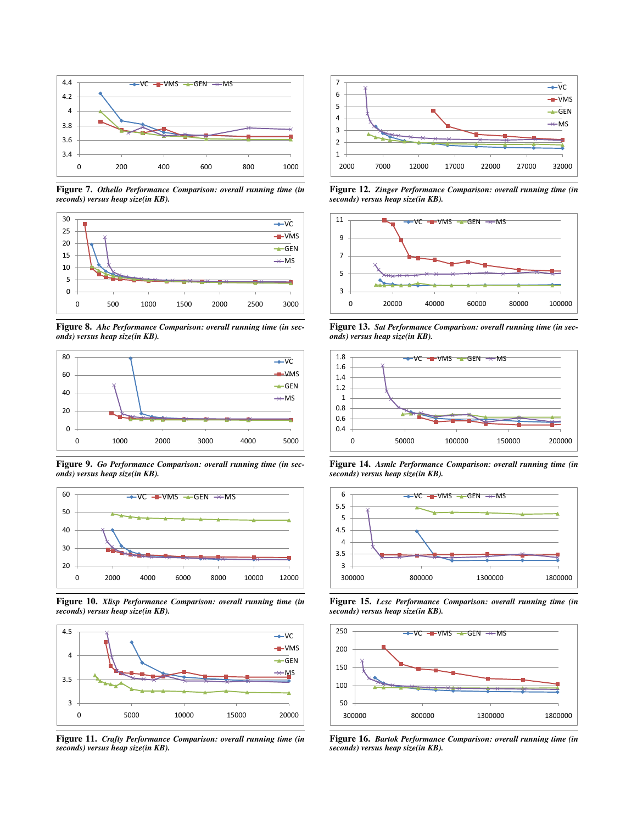

Figure 7. *Othello Performance Comparison: overall running time (in seconds) versus heap size(in KB).*



Figure 8. *Ahc Performance Comparison: overall running time (in seconds) versus heap size(in KB).*



Figure 9. *Go Performance Comparison: overall running time (in seconds) versus heap size(in KB).*



Figure 10. *Xlisp Performance Comparison: overall running time (in seconds) versus heap size(in KB).*



Figure 11. *Crafty Performance Comparison: overall running time (in seconds) versus heap size(in KB).*



Figure 12. *Zinger Performance Comparison: overall running time (in seconds) versus heap size(in KB).*



Figure 13. *Sat Performance Comparison: overall running time (in seconds) versus heap size(in KB).*



Figure 14. *Asmlc Performance Comparison: overall running time (in seconds) versus heap size(in KB).*



Figure 15. *Lcsc Performance Comparison: overall running time (in seconds) versus heap size(in KB).*



Figure 16. *Bartok Performance Comparison: overall running time (in seconds) versus heap size(in KB).*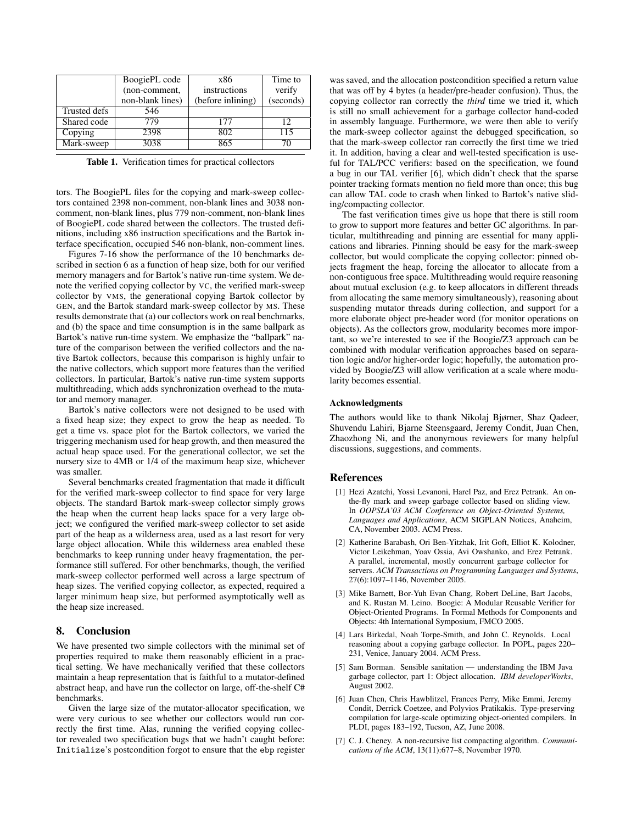|              | BoogiePL code    | x86               | Time to   |
|--------------|------------------|-------------------|-----------|
|              | (non-comment,    | instructions      | verify    |
|              | non-blank lines) | (before inlining) | (seconds) |
| Trusted defs | 546              |                   |           |
| Shared code  | 779              | 177               | 12        |
| Copying      | 2398             | 802               | 115       |
| Mark-sweep   | 3038             | 865               |           |

Table 1. Verification times for practical collectors

tors. The BoogiePL files for the copying and mark-sweep collectors contained 2398 non-comment, non-blank lines and 3038 noncomment, non-blank lines, plus 779 non-comment, non-blank lines of BoogiePL code shared between the collectors. The trusted definitions, including x86 instruction specifications and the Bartok interface specification, occupied 546 non-blank, non-comment lines.

Figures 7-16 show the performance of the 10 benchmarks described in section 6 as a function of heap size, both for our verified memory managers and for Bartok's native run-time system. We denote the verified copying collector by VC, the verified mark-sweep collector by VMS, the generational copying Bartok collector by GEN, and the Bartok standard mark-sweep collector by MS. These results demonstrate that (a) our collectors work on real benchmarks, and (b) the space and time consumption is in the same ballpark as Bartok's native run-time system. We emphasize the "ballpark" nature of the comparison between the verified collectors and the native Bartok collectors, because this comparison is highly unfair to the native collectors, which support more features than the verified collectors. In particular, Bartok's native run-time system supports multithreading, which adds synchronization overhead to the mutator and memory manager.

Bartok's native collectors were not designed to be used with a fixed heap size; they expect to grow the heap as needed. To get a time vs. space plot for the Bartok collectors, we varied the triggering mechanism used for heap growth, and then measured the actual heap space used. For the generational collector, we set the nursery size to 4MB or 1/4 of the maximum heap size, whichever was smaller.

Several benchmarks created fragmentation that made it difficult for the verified mark-sweep collector to find space for very large objects. The standard Bartok mark-sweep collector simply grows the heap when the current heap lacks space for a very large object; we configured the verified mark-sweep collector to set aside part of the heap as a wilderness area, used as a last resort for very large object allocation. While this wilderness area enabled these benchmarks to keep running under heavy fragmentation, the performance still suffered. For other benchmarks, though, the verified mark-sweep collector performed well across a large spectrum of heap sizes. The verified copying collector, as expected, required a larger minimum heap size, but performed asymptotically well as the heap size increased.

#### 8. Conclusion

We have presented two simple collectors with the minimal set of properties required to make them reasonably efficient in a practical setting. We have mechanically verified that these collectors maintain a heap representation that is faithful to a mutator-defined abstract heap, and have run the collector on large, off-the-shelf C# benchmarks.

Given the large size of the mutator-allocator specification, we were very curious to see whether our collectors would run correctly the first time. Alas, running the verified copying collector revealed two specification bugs that we hadn't caught before: Initialize's postcondition forgot to ensure that the ebp register

was saved, and the allocation postcondition specified a return value that was off by 4 bytes (a header/pre-header confusion). Thus, the copying collector ran correctly the *third* time we tried it, which is still no small achievement for a garbage collector hand-coded in assembly language. Furthermore, we were then able to verify the mark-sweep collector against the debugged specification, so that the mark-sweep collector ran correctly the first time we tried it. In addition, having a clear and well-tested specification is useful for TAL/PCC verifiers: based on the specification, we found a bug in our TAL verifier [6], which didn't check that the sparse pointer tracking formats mention no field more than once; this bug can allow TAL code to crash when linked to Bartok's native sliding/compacting collector.

The fast verification times give us hope that there is still room to grow to support more features and better GC algorithms. In particular, multithreading and pinning are essential for many applications and libraries. Pinning should be easy for the mark-sweep collector, but would complicate the copying collector: pinned objects fragment the heap, forcing the allocator to allocate from a non-contiguous free space. Multithreading would require reasoning about mutual exclusion (e.g. to keep allocators in different threads from allocating the same memory simultaneously), reasoning about suspending mutator threads during collection, and support for a more elaborate object pre-header word (for monitor operations on objects). As the collectors grow, modularity becomes more important, so we're interested to see if the Boogie/Z3 approach can be combined with modular verification approaches based on separation logic and/or higher-order logic; hopefully, the automation provided by Boogie/Z3 will allow verification at a scale where modularity becomes essential.

#### Acknowledgments

The authors would like to thank Nikolaj Bjørner, Shaz Qadeer, Shuvendu Lahiri, Bjarne Steensgaard, Jeremy Condit, Juan Chen, Zhaozhong Ni, and the anonymous reviewers for many helpful discussions, suggestions, and comments.

## References

- [1] Hezi Azatchi, Yossi Levanoni, Harel Paz, and Erez Petrank. An onthe-fly mark and sweep garbage collector based on sliding view. In *OOPSLA'03 ACM Conference on Object-Oriented Systems, Languages and Applications*, ACM SIGPLAN Notices, Anaheim, CA, November 2003. ACM Press.
- [2] Katherine Barabash, Ori Ben-Yitzhak, Irit Goft, Elliot K. Kolodner, Victor Leikehman, Yoav Ossia, Avi Owshanko, and Erez Petrank. A parallel, incremental, mostly concurrent garbage collector for servers. *ACM Transactions on Programming Languages and Systems*, 27(6):1097–1146, November 2005.
- [3] Mike Barnett, Bor-Yuh Evan Chang, Robert DeLine, Bart Jacobs, and K. Rustan M. Leino. Boogie: A Modular Reusable Verifier for Object-Oriented Programs. In Formal Methods for Components and Objects: 4th International Symposium, FMCO 2005.
- [4] Lars Birkedal, Noah Torpe-Smith, and John C. Reynolds. Local reasoning about a copying garbage collector. In POPL, pages 220– 231, Venice, January 2004. ACM Press.
- [5] Sam Borman. Sensible sanitation understanding the IBM Java garbage collector, part 1: Object allocation. *IBM developerWorks*, August 2002.
- [6] Juan Chen, Chris Hawblitzel, Frances Perry, Mike Emmi, Jeremy Condit, Derrick Coetzee, and Polyvios Pratikakis. Type-preserving compilation for large-scale optimizing object-oriented compilers. In PLDI, pages 183–192, Tucson, AZ, June 2008.
- [7] C. J. Cheney. A non-recursive list compacting algorithm. *Communications of the ACM*, 13(11):677–8, November 1970.